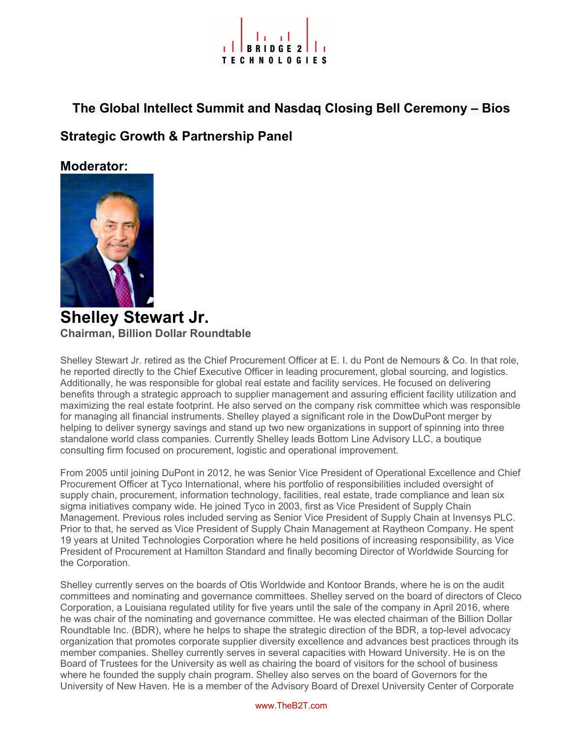# **TECHNOLOGIES**

The Global Intellect Summit and Nasdaq Closing Bell Ceremony – Bios

Strategic Growth & Partnership Panel

Moderator:



Shelley Stewart Jr. Chairman, Billion Dollar Roundtable

Shelley Stewart Jr. retired as the Chief Procurement Officer at E. I. du Pont de Nemours & Co. In that role, he reported directly to the Chief Executive Officer in leading procurement, global sourcing, and logistics. Additionally, he was responsible for global real estate and facility services. He focused on delivering benefits through a strategic approach to supplier management and assuring efficient facility utilization and maximizing the real estate footprint. He also served on the company risk committee which was responsible for managing all financial instruments. Shelley played a significant role in the DowDuPont merger by helping to deliver synergy savings and stand up two new organizations in support of spinning into three standalone world class companies. Currently Shelley leads Bottom Line Advisory LLC, a boutique consulting firm focused on procurement, logistic and operational improvement.

From 2005 until joining DuPont in 2012, he was Senior Vice President of Operational Excellence and Chief Procurement Officer at Tyco International, where his portfolio of responsibilities included oversight of supply chain, procurement, information technology, facilities, real estate, trade compliance and lean six sigma initiatives company wide. He joined Tyco in 2003, first as Vice President of Supply Chain Management. Previous roles included serving as Senior Vice President of Supply Chain at Invensys PLC. Prior to that, he served as Vice President of Supply Chain Management at Raytheon Company. He spent 19 years at United Technologies Corporation where he held positions of increasing responsibility, as Vice President of Procurement at Hamilton Standard and finally becoming Director of Worldwide Sourcing for the Corporation.

Shelley currently serves on the boards of Otis Worldwide and Kontoor Brands, where he is on the audit committees and nominating and governance committees. Shelley served on the board of directors of Cleco Corporation, a Louisiana regulated utility for five years until the sale of the company in April 2016, where he was chair of the nominating and governance committee. He was elected chairman of the Billion Dollar Roundtable Inc. (BDR), where he helps to shape the strategic direction of the BDR, a top-level advocacy organization that promotes corporate supplier diversity excellence and advances best practices through its member companies. Shelley currently serves in several capacities with Howard University. He is on the Board of Trustees for the University as well as chairing the board of visitors for the school of business where he founded the supply chain program. Shelley also serves on the board of Governors for the University of New Haven. He is a member of the Advisory Board of Drexel University Center of Corporate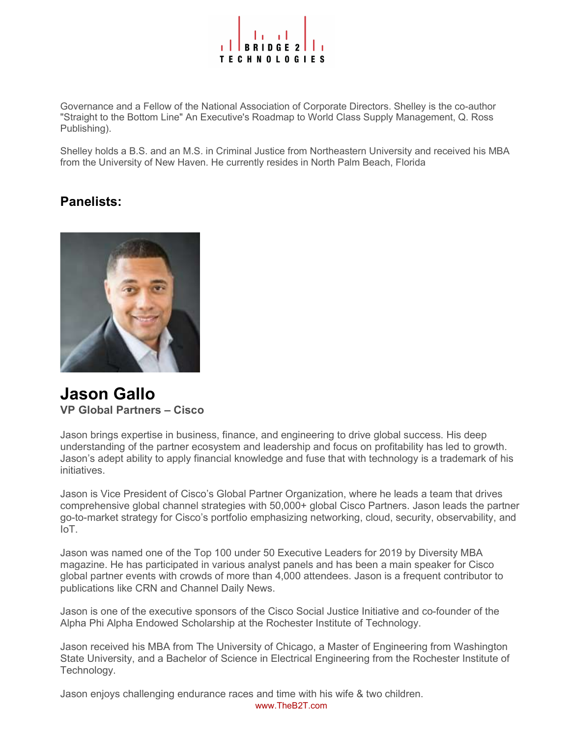

Governance and a Fellow of the National Association of Corporate Directors. Shelley is the co-author "Straight to the Bottom Line" An Executive's Roadmap to World Class Supply Management, Q. Ross Publishing).

Shelley holds a B.S. and an M.S. in Criminal Justice from Northeastern University and received his MBA from the University of New Haven. He currently resides in North Palm Beach, Florida

#### Panelists:



Jason Gallo VP Global Partners – Cisco

Jason brings expertise in business, finance, and engineering to drive global success. His deep understanding of the partner ecosystem and leadership and focus on profitability has led to growth. Jason's adept ability to apply financial knowledge and fuse that with technology is a trademark of his initiatives.

Jason is Vice President of Cisco's Global Partner Organization, where he leads a team that drives comprehensive global channel strategies with 50,000+ global Cisco Partners. Jason leads the partner go-to-market strategy for Cisco's portfolio emphasizing networking, cloud, security, observability, and IoT.

Jason was named one of the Top 100 under 50 Executive Leaders for 2019 by Diversity MBA magazine. He has participated in various analyst panels and has been a main speaker for Cisco global partner events with crowds of more than 4,000 attendees. Jason is a frequent contributor to publications like CRN and Channel Daily News.

Jason is one of the executive sponsors of the Cisco Social Justice Initiative and co-founder of the Alpha Phi Alpha Endowed Scholarship at the Rochester Institute of Technology.

Jason received his MBA from The University of Chicago, a Master of Engineering from Washington State University, and a Bachelor of Science in Electrical Engineering from the Rochester Institute of Technology.

www.TheB2T.com Jason enjoys challenging endurance races and time with his wife & two children.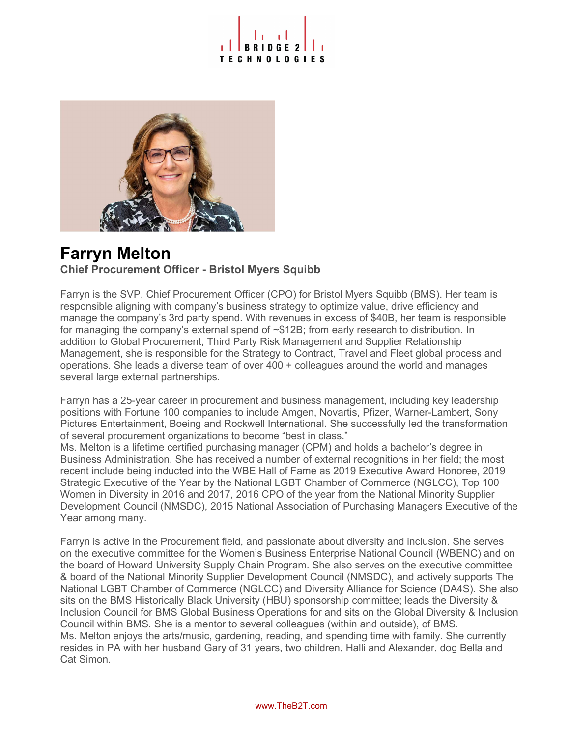# **TECHNOLOGIES**



# Farryn Melton

#### Chief Procurement Officer - Bristol Myers Squibb

Farryn is the SVP, Chief Procurement Officer (CPO) for Bristol Myers Squibb (BMS). Her team is responsible aligning with company's business strategy to optimize value, drive efficiency and manage the company's 3rd party spend. With revenues in excess of \$40B, her team is responsible for managing the company's external spend of ~\$12B; from early research to distribution. In addition to Global Procurement, Third Party Risk Management and Supplier Relationship Management, she is responsible for the Strategy to Contract, Travel and Fleet global process and operations. She leads a diverse team of over 400 + colleagues around the world and manages several large external partnerships.

Farryn has a 25-year career in procurement and business management, including key leadership positions with Fortune 100 companies to include Amgen, Novartis, Pfizer, Warner-Lambert, Sony Pictures Entertainment, Boeing and Rockwell International. She successfully led the transformation of several procurement organizations to become "best in class."

Ms. Melton is a lifetime certified purchasing manager (CPM) and holds a bachelor's degree in Business Administration. She has received a number of external recognitions in her field; the most recent include being inducted into the WBE Hall of Fame as 2019 Executive Award Honoree, 2019 Strategic Executive of the Year by the National LGBT Chamber of Commerce (NGLCC), Top 100 Women in Diversity in 2016 and 2017, 2016 CPO of the year from the National Minority Supplier Development Council (NMSDC), 2015 National Association of Purchasing Managers Executive of the Year among many.

Farryn is active in the Procurement field, and passionate about diversity and inclusion. She serves on the executive committee for the Women's Business Enterprise National Council (WBENC) and on the board of Howard University Supply Chain Program. She also serves on the executive committee & board of the National Minority Supplier Development Council (NMSDC), and actively supports The National LGBT Chamber of Commerce (NGLCC) and Diversity Alliance for Science (DA4S). She also sits on the BMS Historically Black University (HBU) sponsorship committee; leads the Diversity & Inclusion Council for BMS Global Business Operations for and sits on the Global Diversity & Inclusion Council within BMS. She is a mentor to several colleagues (within and outside), of BMS. Ms. Melton enjoys the arts/music, gardening, reading, and spending time with family. She currently resides in PA with her husband Gary of 31 years, two children, Halli and Alexander, dog Bella and Cat Simon.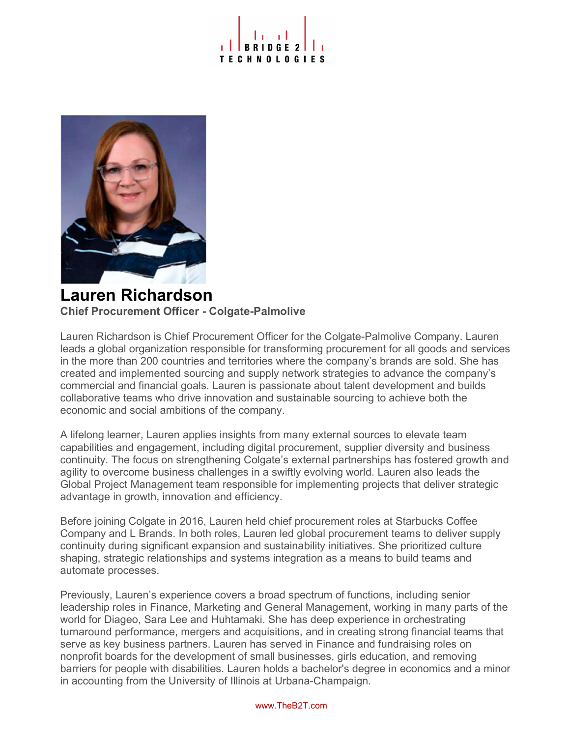



### Lauren Richardson Chief Procurement Officer - Colgate-Palmolive

Lauren Richardson is Chief Procurement Officer for the Colgate-Palmolive Company. Lauren leads a global organization responsible for transforming procurement for all goods and services in the more than 200 countries and territories where the company's brands are sold. She has created and implemented sourcing and supply network strategies to advance the company's commercial and financial goals. Lauren is passionate about talent development and builds collaborative teams who drive innovation and sustainable sourcing to achieve both the economic and social ambitions of the company.

A lifelong learner, Lauren applies insights from many external sources to elevate team capabilities and engagement, including digital procurement, supplier diversity and business continuity. The focus on strengthening Colgate's external partnerships has fostered growth and agility to overcome business challenges in a swiftly evolving world. Lauren also leads the Global Project Management team responsible for implementing projects that deliver strategic advantage in growth, innovation and efficiency.

Before joining Colgate in 2016, Lauren held chief procurement roles at Starbucks Coffee Company and L Brands. In both roles, Lauren led global procurement teams to deliver supply continuity during significant expansion and sustainability initiatives. She prioritized culture shaping, strategic relationships and systems integration as a means to build teams and automate processes.

Previously, Lauren's experience covers a broad spectrum of functions, including senior leadership roles in Finance, Marketing and General Management, working in many parts of the world for Diageo, Sara Lee and Huhtamaki. She has deep experience in orchestrating turnaround performance, mergers and acquisitions, and in creating strong financial teams that serve as key business partners. Lauren has served in Finance and fundraising roles on nonprofit boards for the development of small businesses, girls education, and removing barriers for people with disabilities. Lauren holds a bachelor's degree in economics and a minor in accounting from the University of Illinois at Urbana-Champaign.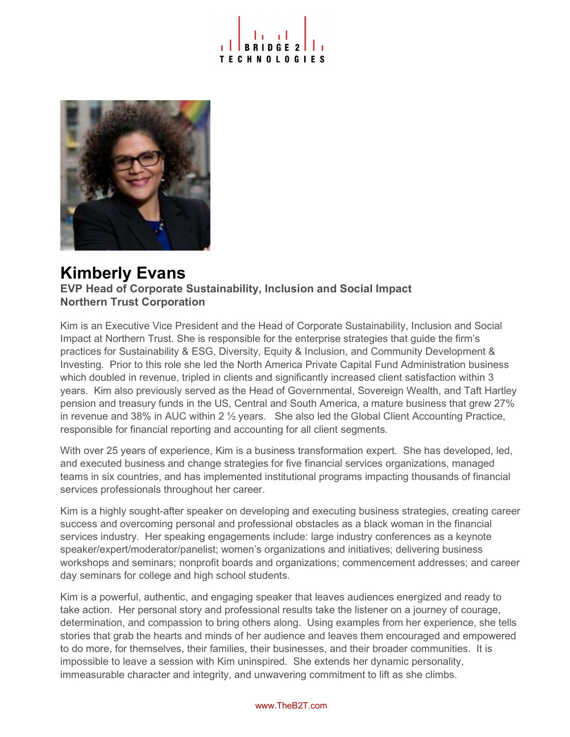



## Kimberly Evans

EVP Head of Corporate Sustainability, Inclusion and Social Impact Northern Trust Corporation

Kim is an Executive Vice President and the Head of Corporate Sustainability, Inclusion and Social Impact at Northern Trust. She is responsible for the enterprise strategies that guide the firm's practices for Sustainability & ESG, Diversity, Equity & Inclusion, and Community Development & Investing. Prior to this role she led the North America Private Capital Fund Administration business which doubled in revenue, tripled in clients and significantly increased client satisfaction within 3 years. Kim also previously served as the Head of Governmental, Sovereign Wealth, and Taft Hartley pension and treasury funds in the US, Central and South America, a mature business that grew 27% in revenue and 38% in AUC within 2 ½ years. She also led the Global Client Accounting Practice, responsible for financial reporting and accounting for all client segments.

With over 25 years of experience, Kim is a business transformation expert. She has developed, led, and executed business and change strategies for five financial services organizations, managed teams in six countries, and has implemented institutional programs impacting thousands of financial services professionals throughout her career.

Kim is a highly sought-after speaker on developing and executing business strategies, creating career success and overcoming personal and professional obstacles as a black woman in the financial services industry. Her speaking engagements include: large industry conferences as a keynote speaker/expert/moderator/panelist; women's organizations and initiatives; delivering business workshops and seminars; nonprofit boards and organizations; commencement addresses; and career day seminars for college and high school students.

Kim is a powerful, authentic, and engaging speaker that leaves audiences energized and ready to take action. Her personal story and professional results take the listener on a journey of courage, determination, and compassion to bring others along. Using examples from her experience, she tells stories that grab the hearts and minds of her audience and leaves them encouraged and empowered to do more, for themselves, their families, their businesses, and their broader communities. It is impossible to leave a session with Kim uninspired. She extends her dynamic personality, immeasurable character and integrity, and unwavering commitment to lift as she climbs.